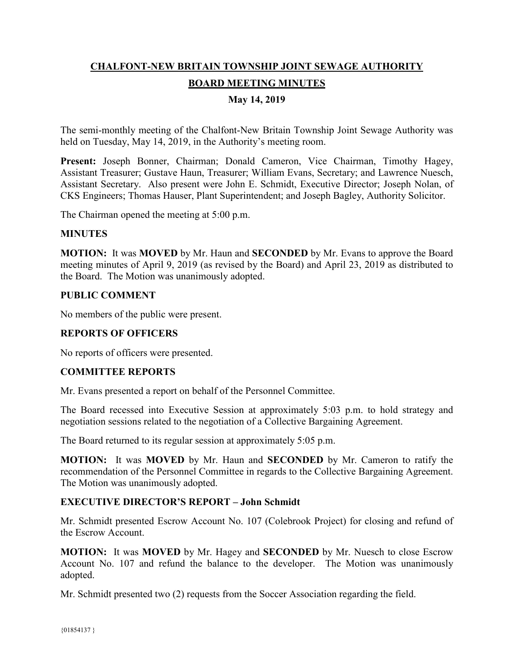# **CHALFONT-NEW BRITAIN TOWNSHIP JOINT SEWAGE AUTHORITY BOARD MEETING MINUTES**

# **May 14, 2019**

The semi-monthly meeting of the Chalfont-New Britain Township Joint Sewage Authority was held on Tuesday, May 14, 2019, in the Authority's meeting room.

Present: Joseph Bonner, Chairman; Donald Cameron, Vice Chairman, Timothy Hagey, Assistant Treasurer; Gustave Haun, Treasurer; William Evans, Secretary; and Lawrence Nuesch, Assistant Secretary. Also present were John E. Schmidt, Executive Director; Joseph Nolan, of CKS Engineers; Thomas Hauser, Plant Superintendent; and Joseph Bagley, Authority Solicitor.

The Chairman opened the meeting at 5:00 p.m.

#### **MINUTES**

**MOTION:** It was **MOVED** by Mr. Haun and **SECONDED** by Mr. Evans to approve the Board meeting minutes of April 9, 2019 (as revised by the Board) and April 23, 2019 as distributed to the Board. The Motion was unanimously adopted.

## **PUBLIC COMMENT**

No members of the public were present.

## **REPORTS OF OFFICERS**

No reports of officers were presented.

#### **COMMITTEE REPORTS**

Mr. Evans presented a report on behalf of the Personnel Committee.

The Board recessed into Executive Session at approximately 5:03 p.m. to hold strategy and negotiation sessions related to the negotiation of a Collective Bargaining Agreement.

The Board returned to its regular session at approximately 5:05 p.m.

**MOTION:** It was **MOVED** by Mr. Haun and **SECONDED** by Mr. Cameron to ratify the recommendation of the Personnel Committee in regards to the Collective Bargaining Agreement. The Motion was unanimously adopted.

# **EXECUTIVE DIRECTOR'S REPORT – John Schmidt**

Mr. Schmidt presented Escrow Account No. 107 (Colebrook Project) for closing and refund of the Escrow Account.

**MOTION:** It was **MOVED** by Mr. Hagey and **SECONDED** by Mr. Nuesch to close Escrow Account No. 107 and refund the balance to the developer. The Motion was unanimously adopted.

Mr. Schmidt presented two (2) requests from the Soccer Association regarding the field.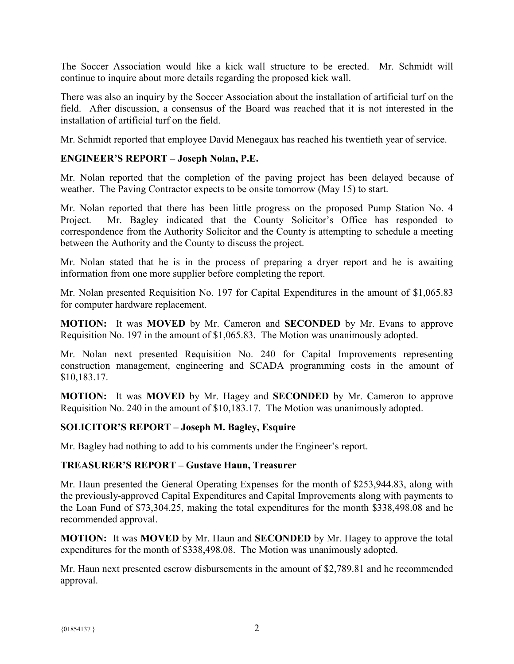The Soccer Association would like a kick wall structure to be erected. Mr. Schmidt will continue to inquire about more details regarding the proposed kick wall.

There was also an inquiry by the Soccer Association about the installation of artificial turf on the field. After discussion, a consensus of the Board was reached that it is not interested in the installation of artificial turf on the field.

Mr. Schmidt reported that employee David Menegaux has reached his twentieth year of service.

## **ENGINEER'S REPORT – Joseph Nolan, P.E.**

Mr. Nolan reported that the completion of the paving project has been delayed because of weather. The Paving Contractor expects to be onsite tomorrow (May 15) to start.

Mr. Nolan reported that there has been little progress on the proposed Pump Station No. 4 Project. Mr. Bagley indicated that the County Solicitor's Office has responded to correspondence from the Authority Solicitor and the County is attempting to schedule a meeting between the Authority and the County to discuss the project.

Mr. Nolan stated that he is in the process of preparing a dryer report and he is awaiting information from one more supplier before completing the report.

Mr. Nolan presented Requisition No. 197 for Capital Expenditures in the amount of \$1,065.83 for computer hardware replacement.

**MOTION:** It was **MOVED** by Mr. Cameron and **SECONDED** by Mr. Evans to approve Requisition No. 197 in the amount of \$1,065.83. The Motion was unanimously adopted.

Mr. Nolan next presented Requisition No. 240 for Capital Improvements representing construction management, engineering and SCADA programming costs in the amount of \$10,183.17.

**MOTION:** It was **MOVED** by Mr. Hagey and **SECONDED** by Mr. Cameron to approve Requisition No. 240 in the amount of \$10,183.17. The Motion was unanimously adopted.

## **SOLICITOR'S REPORT – Joseph M. Bagley, Esquire**

Mr. Bagley had nothing to add to his comments under the Engineer's report.

#### **TREASURER'S REPORT – Gustave Haun, Treasurer**

Mr. Haun presented the General Operating Expenses for the month of \$253,944.83, along with the previously-approved Capital Expenditures and Capital Improvements along with payments to the Loan Fund of \$73,304.25, making the total expenditures for the month \$338,498.08 and he recommended approval.

**MOTION:** It was **MOVED** by Mr. Haun and **SECONDED** by Mr. Hagey to approve the total expenditures for the month of \$338,498.08. The Motion was unanimously adopted.

Mr. Haun next presented escrow disbursements in the amount of \$2,789.81 and he recommended approval.